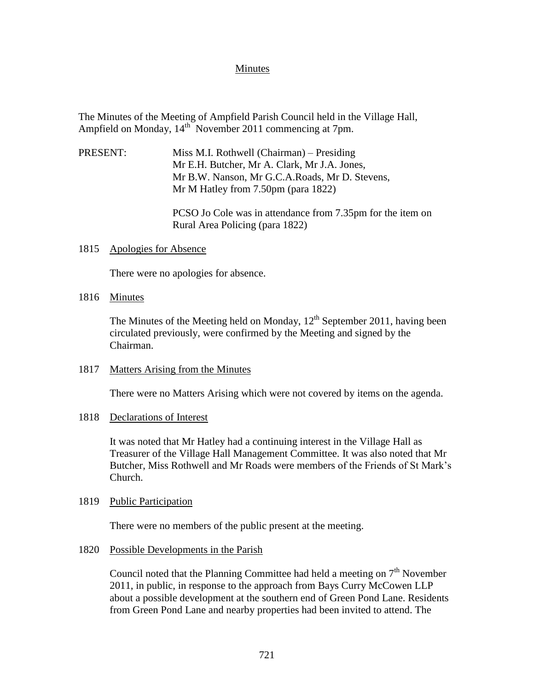# Minutes

The Minutes of the Meeting of Ampfield Parish Council held in the Village Hall, Ampfield on Monday, 14<sup>th</sup> November 2011 commencing at 7pm.

PRESENT: Miss M.I. Rothwell (Chairman) – Presiding Mr E.H. Butcher, Mr A. Clark, Mr J.A. Jones, Mr B.W. Nanson, Mr G.C.A.Roads, Mr D. Stevens, Mr M Hatley from 7.50pm (para 1822)

> PCSO Jo Cole was in attendance from 7.35pm for the item on Rural Area Policing (para 1822)

## 1815 Apologies for Absence

There were no apologies for absence.

## 1816 Minutes

The Minutes of the Meeting held on Monday,  $12<sup>th</sup>$  September 2011, having been circulated previously, were confirmed by the Meeting and signed by the Chairman.

## 1817 Matters Arising from the Minutes

There were no Matters Arising which were not covered by items on the agenda.

## 1818 Declarations of Interest

It was noted that Mr Hatley had a continuing interest in the Village Hall as Treasurer of the Village Hall Management Committee. It was also noted that Mr Butcher, Miss Rothwell and Mr Roads were members of the Friends of St Mark's Church.

## 1819 Public Participation

There were no members of the public present at the meeting.

## 1820 Possible Developments in the Parish

Council noted that the Planning Committee had held a meeting on  $7<sup>th</sup>$  November 2011, in public, in response to the approach from Bays Curry McCowen LLP about a possible development at the southern end of Green Pond Lane. Residents from Green Pond Lane and nearby properties had been invited to attend. The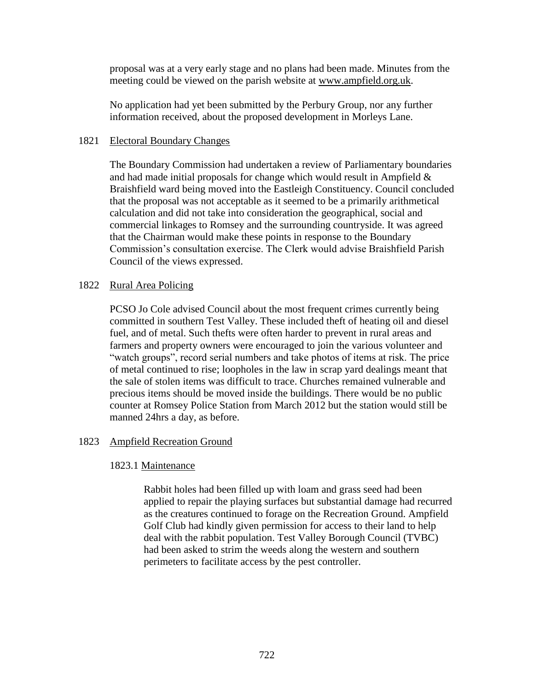proposal was at a very early stage and no plans had been made. Minutes from the meeting could be viewed on the parish website at [www.ampfield.org.uk.](http://www.ampfield.org.uk/)

No application had yet been submitted by the Perbury Group, nor any further information received, about the proposed development in Morleys Lane.

# 1821 Electoral Boundary Changes

The Boundary Commission had undertaken a review of Parliamentary boundaries and had made initial proposals for change which would result in Ampfield  $\&$ Braishfield ward being moved into the Eastleigh Constituency. Council concluded that the proposal was not acceptable as it seemed to be a primarily arithmetical calculation and did not take into consideration the geographical, social and commercial linkages to Romsey and the surrounding countryside. It was agreed that the Chairman would make these points in response to the Boundary Commission's consultation exercise. The Clerk would advise Braishfield Parish Council of the views expressed.

# 1822 Rural Area Policing

PCSO Jo Cole advised Council about the most frequent crimes currently being committed in southern Test Valley. These included theft of heating oil and diesel fuel, and of metal. Such thefts were often harder to prevent in rural areas and farmers and property owners were encouraged to join the various volunteer and "watch groups", record serial numbers and take photos of items at risk. The price of metal continued to rise; loopholes in the law in scrap yard dealings meant that the sale of stolen items was difficult to trace. Churches remained vulnerable and precious items should be moved inside the buildings. There would be no public counter at Romsey Police Station from March 2012 but the station would still be manned 24hrs a day, as before.

# 1823 Ampfield Recreation Ground

# 1823.1 Maintenance

Rabbit holes had been filled up with loam and grass seed had been applied to repair the playing surfaces but substantial damage had recurred as the creatures continued to forage on the Recreation Ground. Ampfield Golf Club had kindly given permission for access to their land to help deal with the rabbit population. Test Valley Borough Council (TVBC) had been asked to strim the weeds along the western and southern perimeters to facilitate access by the pest controller.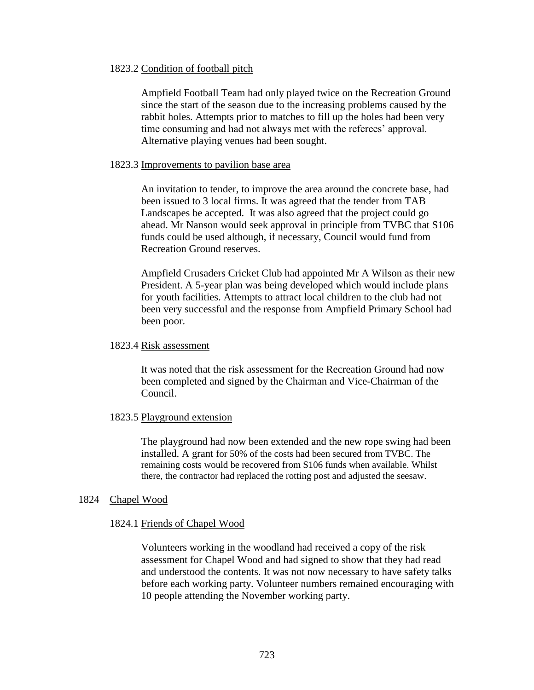## 1823.2 Condition of football pitch

Ampfield Football Team had only played twice on the Recreation Ground since the start of the season due to the increasing problems caused by the rabbit holes. Attempts prior to matches to fill up the holes had been very time consuming and had not always met with the referees' approval. Alternative playing venues had been sought.

### 1823.3 Improvements to pavilion base area

An invitation to tender, to improve the area around the concrete base, had been issued to 3 local firms. It was agreed that the tender from TAB Landscapes be accepted. It was also agreed that the project could go ahead. Mr Nanson would seek approval in principle from TVBC that S106 funds could be used although, if necessary, Council would fund from Recreation Ground reserves.

Ampfield Crusaders Cricket Club had appointed Mr A Wilson as their new President. A 5-year plan was being developed which would include plans for youth facilities. Attempts to attract local children to the club had not been very successful and the response from Ampfield Primary School had been poor.

#### 1823.4 Risk assessment

It was noted that the risk assessment for the Recreation Ground had now been completed and signed by the Chairman and Vice-Chairman of the Council.

### 1823.5 Playground extension

The playground had now been extended and the new rope swing had been installed. A grant for 50% of the costs had been secured from TVBC. The remaining costs would be recovered from S106 funds when available. Whilst there, the contractor had replaced the rotting post and adjusted the seesaw.

### 1824 Chapel Wood

#### 1824.1 Friends of Chapel Wood

Volunteers working in the woodland had received a copy of the risk assessment for Chapel Wood and had signed to show that they had read and understood the contents. It was not now necessary to have safety talks before each working party. Volunteer numbers remained encouraging with 10 people attending the November working party.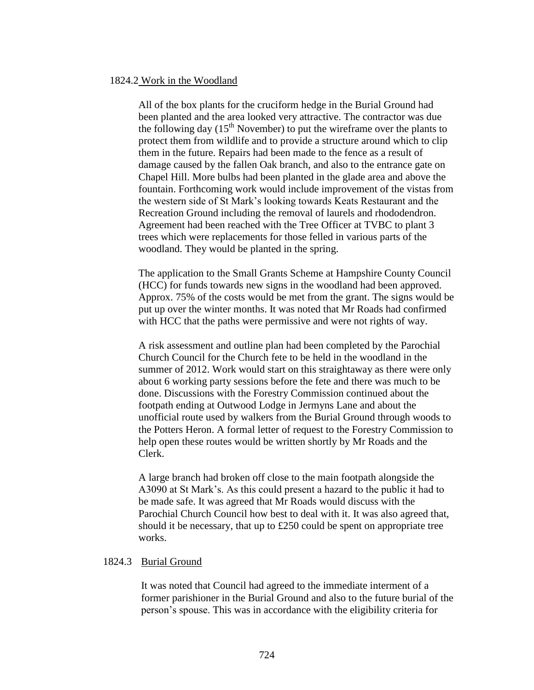### 1824.2 Work in the Woodland

All of the box plants for the cruciform hedge in the Burial Ground had been planted and the area looked very attractive. The contractor was due the following day  $(15<sup>th</sup>$  November) to put the wireframe over the plants to protect them from wildlife and to provide a structure around which to clip them in the future. Repairs had been made to the fence as a result of damage caused by the fallen Oak branch, and also to the entrance gate on Chapel Hill. More bulbs had been planted in the glade area and above the fountain. Forthcoming work would include improvement of the vistas from the western side of St Mark's looking towards Keats Restaurant and the Recreation Ground including the removal of laurels and rhododendron. Agreement had been reached with the Tree Officer at TVBC to plant 3 trees which were replacements for those felled in various parts of the woodland. They would be planted in the spring.

The application to the Small Grants Scheme at Hampshire County Council (HCC) for funds towards new signs in the woodland had been approved. Approx. 75% of the costs would be met from the grant. The signs would be put up over the winter months. It was noted that Mr Roads had confirmed with HCC that the paths were permissive and were not rights of way.

A risk assessment and outline plan had been completed by the Parochial Church Council for the Church fete to be held in the woodland in the summer of 2012. Work would start on this straightaway as there were only about 6 working party sessions before the fete and there was much to be done. Discussions with the Forestry Commission continued about the footpath ending at Outwood Lodge in Jermyns Lane and about the unofficial route used by walkers from the Burial Ground through woods to the Potters Heron. A formal letter of request to the Forestry Commission to help open these routes would be written shortly by Mr Roads and the Clerk.

A large branch had broken off close to the main footpath alongside the A3090 at St Mark's. As this could present a hazard to the public it had to be made safe. It was agreed that Mr Roads would discuss with the Parochial Church Council how best to deal with it. It was also agreed that, should it be necessary, that up to £250 could be spent on appropriate tree works.

## 1824.3 Burial Ground

It was noted that Council had agreed to the immediate interment of a former parishioner in the Burial Ground and also to the future burial of the person's spouse. This was in accordance with the eligibility criteria for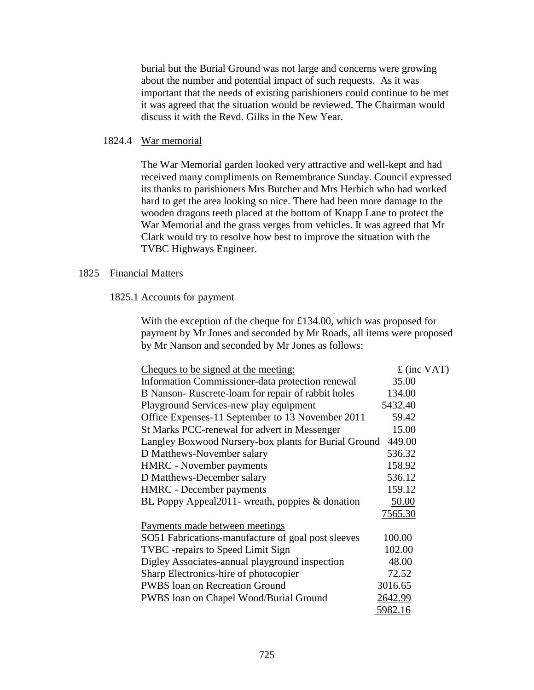burial but the Burial Ground was not large and concerns were growing about the number and potential impact of such requests. As it was important that the needs of existing parishioners could continue to be met it was agreed that the situation would be reviewed. The Chairman would discuss it with the Revd. Gilks in the New Year.

### 1824.4 War memorial

The War Memorial garden looked very attractive and well-kept and had received many compliments on Remembrance Sunday. Council expressed its thanks to parishioners Mrs Butcher and Mrs Herbich who had worked hard to get the area looking so nice. There had been more damage to the wooden dragons teeth placed at the bottom of Knapp Lane to protect the War Memorial and the grass verges from vehicles. It was agreed that Mr Clark would try to resolve how best to improve the situation with the TVBC Highways Engineer.

# 1825 Financial Matters

### 1825.1 Accounts for payment

With the exception of the cheque for £134.00, which was proposed for payment by Mr Jones and seconded by Mr Roads, all items were proposed by Mr Nanson and seconded by Mr Jones as follows:

| <u>Cheques to be signed at the meeting:</u>          | $f$ (inc VAT) |
|------------------------------------------------------|---------------|
| Information Commissioner-data protection renewal     | 35.00         |
| B Nanson-Ruscrete-loam for repair of rabbit holes    | 134.00        |
| Playground Services-new play equipment               | 5432.40       |
| Office Expenses-11 September to 13 November 2011     | 59.42         |
| St Marks PCC-renewal for advert in Messenger         | 15.00         |
| Langley Boxwood Nursery-box plants for Burial Ground | 449.00        |
| D Matthews-November salary                           | 536.32        |
| <b>HMRC</b> - November payments                      | 158.92        |
| D Matthews-December salary                           | 536.12        |
| <b>HMRC</b> - December payments                      | 159.12        |
| BL Poppy Appeal2011- wreath, poppies & donation      | 50.00         |
|                                                      | 7565.30       |
| Payments made between meetings                       |               |
| SO51 Fabrications-manufacture of goal post sleeves   | 100.00        |
| <b>TVBC</b> - repairs to Speed Limit Sign            | 102.00        |
| Digley Associates-annual playground inspection       | 48.00         |
| Sharp Electronics-hire of photocopier                | 72.52         |
| PWBS loan on Recreation Ground                       | 3016.65       |
| PWBS loan on Chapel Wood/Burial Ground               | 2642.99       |
|                                                      | 5982.16       |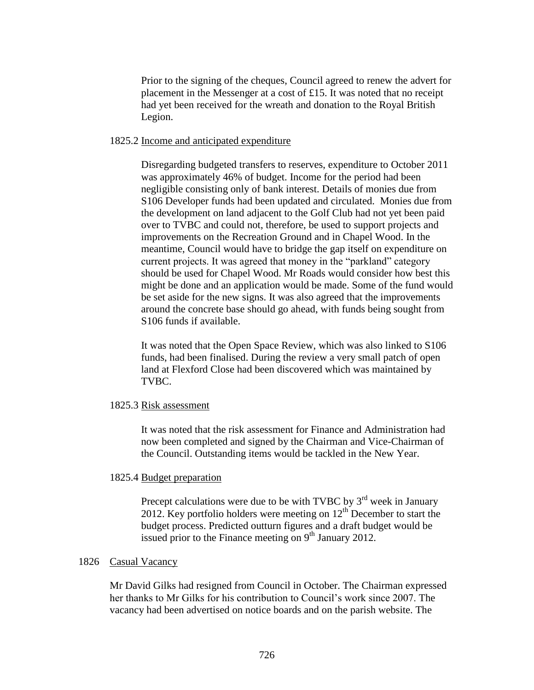Prior to the signing of the cheques, Council agreed to renew the advert for placement in the Messenger at a cost of £15. It was noted that no receipt had yet been received for the wreath and donation to the Royal British Legion.

#### 1825.2 Income and anticipated expenditure

Disregarding budgeted transfers to reserves, expenditure to October 2011 was approximately 46% of budget. Income for the period had been negligible consisting only of bank interest. Details of monies due from S106 Developer funds had been updated and circulated. Monies due from the development on land adjacent to the Golf Club had not yet been paid over to TVBC and could not, therefore, be used to support projects and improvements on the Recreation Ground and in Chapel Wood. In the meantime, Council would have to bridge the gap itself on expenditure on current projects. It was agreed that money in the "parkland" category should be used for Chapel Wood. Mr Roads would consider how best this might be done and an application would be made. Some of the fund would be set aside for the new signs. It was also agreed that the improvements around the concrete base should go ahead, with funds being sought from S106 funds if available.

It was noted that the Open Space Review, which was also linked to S106 funds, had been finalised. During the review a very small patch of open land at Flexford Close had been discovered which was maintained by TVBC.

### 1825.3 Risk assessment

It was noted that the risk assessment for Finance and Administration had now been completed and signed by the Chairman and Vice-Chairman of the Council. Outstanding items would be tackled in the New Year.

#### 1825.4 Budget preparation

Precept calculations were due to be with TVBC by  $3<sup>rd</sup>$  week in January 2012. Key portfolio holders were meeting on  $12<sup>th</sup>$  December to start the budget process. Predicted outturn figures and a draft budget would be issued prior to the Finance meeting on  $9<sup>th</sup>$  January 2012.

### 1826 Casual Vacancy

Mr David Gilks had resigned from Council in October. The Chairman expressed her thanks to Mr Gilks for his contribution to Council's work since 2007. The vacancy had been advertised on notice boards and on the parish website. The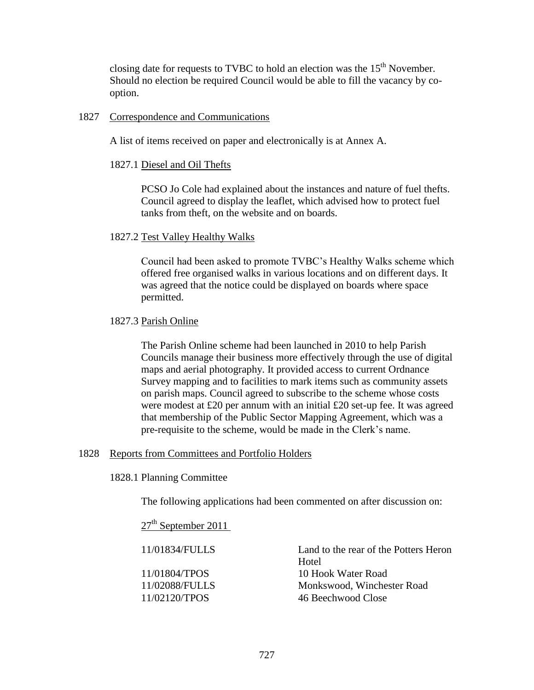closing date for requests to TVBC to hold an election was the  $15<sup>th</sup>$  November. Should no election be required Council would be able to fill the vacancy by cooption.

# 1827 Correspondence and Communications

A list of items received on paper and electronically is at Annex A.

# 1827.1 Diesel and Oil Thefts

PCSO Jo Cole had explained about the instances and nature of fuel thefts. Council agreed to display the leaflet, which advised how to protect fuel tanks from theft, on the website and on boards.

# 1827.2 Test Valley Healthy Walks

Council had been asked to promote TVBC's Healthy Walks scheme which offered free organised walks in various locations and on different days. It was agreed that the notice could be displayed on boards where space permitted.

# 1827.3 Parish Online

The Parish Online scheme had been launched in 2010 to help Parish Councils manage their business more effectively through the use of digital maps and aerial photography. It provided access to current Ordnance Survey mapping and to facilities to mark items such as community assets on parish maps. Council agreed to subscribe to the scheme whose costs were modest at £20 per annum with an initial £20 set-up fee. It was agreed that membership of the Public Sector Mapping Agreement, which was a pre-requisite to the scheme, would be made in the Clerk's name.

# 1828 Reports from Committees and Portfolio Holders

1828.1 Planning Committee

The following applications had been commented on after discussion on:

# $27<sup>th</sup>$  September 2011

| 11/01834/FULLS | Land to the rear of the Potters Heron |  |  |  |  |  |  |  |
|----------------|---------------------------------------|--|--|--|--|--|--|--|
|                | Hotel                                 |  |  |  |  |  |  |  |
| 11/01804/TPOS  | 10 Hook Water Road                    |  |  |  |  |  |  |  |
| 11/02088/FULLS | Monkswood, Winchester Road            |  |  |  |  |  |  |  |
| 11/02120/TPOS  | 46 Beechwood Close                    |  |  |  |  |  |  |  |
|                |                                       |  |  |  |  |  |  |  |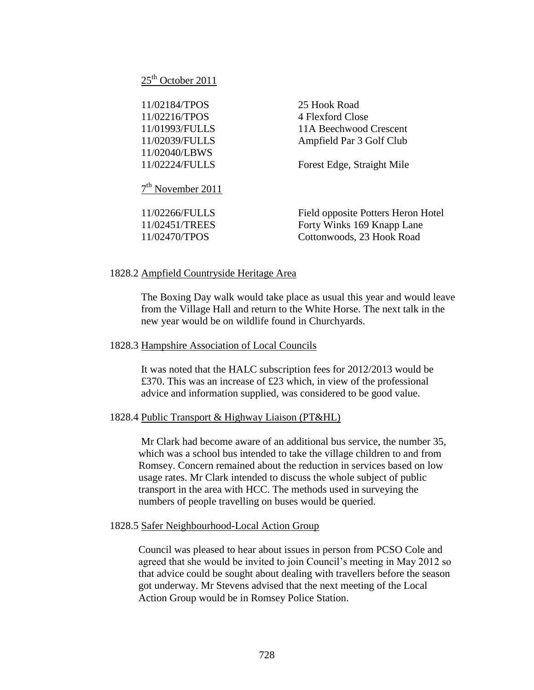$25<sup>th</sup>$  October 2011

| 11/02184/TPOS                 | 25 Hook Road               |
|-------------------------------|----------------------------|
| 11/02216/TPOS                 | 4 Flexford Close           |
| 11/01993/FULLS                | 11A Beechwood Crescent     |
| 11/02039/FULLS                | Ampfield Par 3 Golf Club   |
| 11/02040/LBWS                 |                            |
| 11/02224/FULLS                | Forest Edge, Straight Mile |
|                               |                            |
| 7 <sup>th</sup> November 2011 |                            |

11/02266/FULLS Field opposite Potters Heron Hotel 11/02451/TREES Forty Winks 169 Knapp Lane 11/02470/TPOS Cottonwoods, 23 Hook Road

# 1828.2 Ampfield Countryside Heritage Area

The Boxing Day walk would take place as usual this year and would leave from the Village Hall and return to the White Horse. The next talk in the new year would be on wildlife found in Churchyards.

## 1828.3 Hampshire Association of Local Councils

It was noted that the HALC subscription fees for 2012/2013 would be £370. This was an increase of £23 which, in view of the professional advice and information supplied, was considered to be good value.

## 1828.4 Public Transport & Highway Liaison (PT&HL)

Mr Clark had become aware of an additional bus service, the number 35, which was a school bus intended to take the village children to and from Romsey. Concern remained about the reduction in services based on low usage rates. Mr Clark intended to discuss the whole subject of public transport in the area with HCC. The methods used in surveying the numbers of people travelling on buses would be queried.

## 1828.5 Safer Neighbourhood-Local Action Group

Council was pleased to hear about issues in person from PCSO Cole and agreed that she would be invited to join Council's meeting in May 2012 so that advice could be sought about dealing with travellers before the season got underway. Mr Stevens advised that the next meeting of the Local Action Group would be in Romsey Police Station.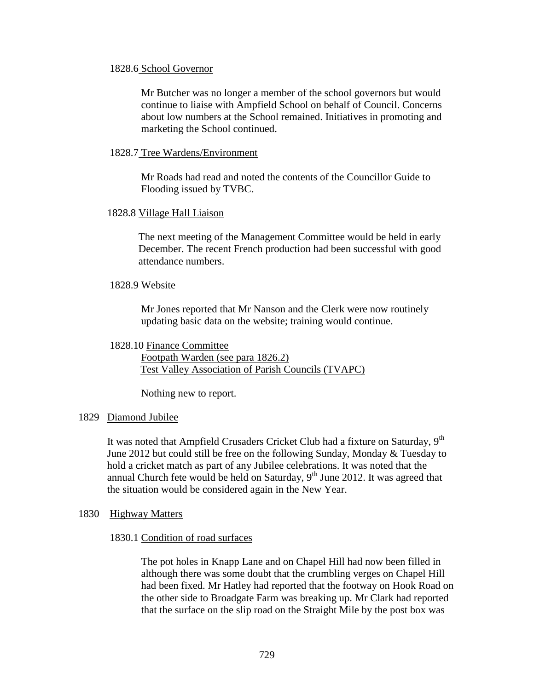### 1828.6 School Governor

Mr Butcher was no longer a member of the school governors but would continue to liaise with Ampfield School on behalf of Council. Concerns about low numbers at the School remained. Initiatives in promoting and marketing the School continued.

### 1828.7 Tree Wardens/Environment

Mr Roads had read and noted the contents of the Councillor Guide to Flooding issued by TVBC.

# 1828.8 Village Hall Liaison

The next meeting of the Management Committee would be held in early December. The recent French production had been successful with good attendance numbers.

#### 1828.9 Website

Mr Jones reported that Mr Nanson and the Clerk were now routinely updating basic data on the website; training would continue.

#### 1828.10 Finance Committee

Footpath Warden (see para 1826.2) Test Valley Association of Parish Councils (TVAPC)

Nothing new to report.

### 1829 Diamond Jubilee

It was noted that Ampfield Crusaders Cricket Club had a fixture on Saturday,  $9<sup>th</sup>$ June 2012 but could still be free on the following Sunday, Monday & Tuesday to hold a cricket match as part of any Jubilee celebrations. It was noted that the annual Church fete would be held on Saturday,  $9<sup>th</sup>$  June 2012. It was agreed that the situation would be considered again in the New Year.

### 1830 Highway Matters

#### 1830.1 Condition of road surfaces

The pot holes in Knapp Lane and on Chapel Hill had now been filled in although there was some doubt that the crumbling verges on Chapel Hill had been fixed. Mr Hatley had reported that the footway on Hook Road on the other side to Broadgate Farm was breaking up. Mr Clark had reported that the surface on the slip road on the Straight Mile by the post box was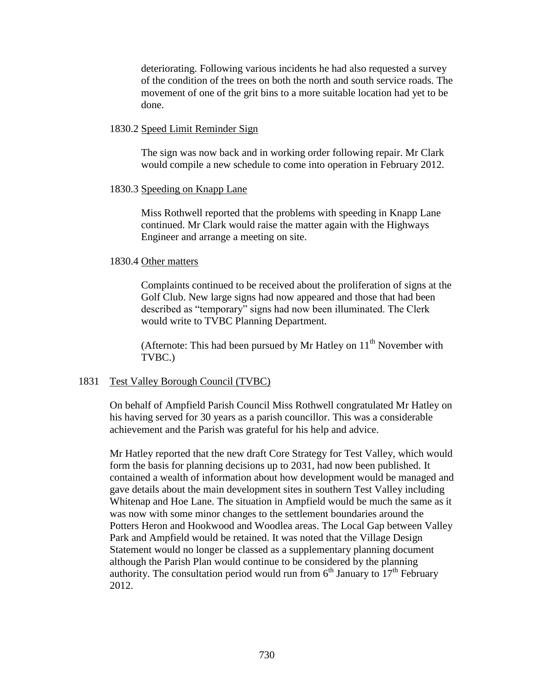deteriorating. Following various incidents he had also requested a survey of the condition of the trees on both the north and south service roads. The movement of one of the grit bins to a more suitable location had yet to be done.

### 1830.2 Speed Limit Reminder Sign

The sign was now back and in working order following repair. Mr Clark would compile a new schedule to come into operation in February 2012.

### 1830.3 Speeding on Knapp Lane

Miss Rothwell reported that the problems with speeding in Knapp Lane continued. Mr Clark would raise the matter again with the Highways Engineer and arrange a meeting on site.

### 1830.4 Other matters

Complaints continued to be received about the proliferation of signs at the Golf Club. New large signs had now appeared and those that had been described as "temporary" signs had now been illuminated. The Clerk would write to TVBC Planning Department.

(Afternote: This had been pursued by Mr Hatley on  $11<sup>th</sup>$  November with TVBC.)

### 1831 Test Valley Borough Council (TVBC)

On behalf of Ampfield Parish Council Miss Rothwell congratulated Mr Hatley on his having served for 30 years as a parish councillor. This was a considerable achievement and the Parish was grateful for his help and advice.

Mr Hatley reported that the new draft Core Strategy for Test Valley, which would form the basis for planning decisions up to 2031, had now been published. It contained a wealth of information about how development would be managed and gave details about the main development sites in southern Test Valley including Whitenap and Hoe Lane. The situation in Ampfield would be much the same as it was now with some minor changes to the settlement boundaries around the Potters Heron and Hookwood and Woodlea areas. The Local Gap between Valley Park and Ampfield would be retained. It was noted that the Village Design Statement would no longer be classed as a supplementary planning document although the Parish Plan would continue to be considered by the planning authority. The consultation period would run from  $6<sup>th</sup>$  January to  $17<sup>th</sup>$  February 2012.